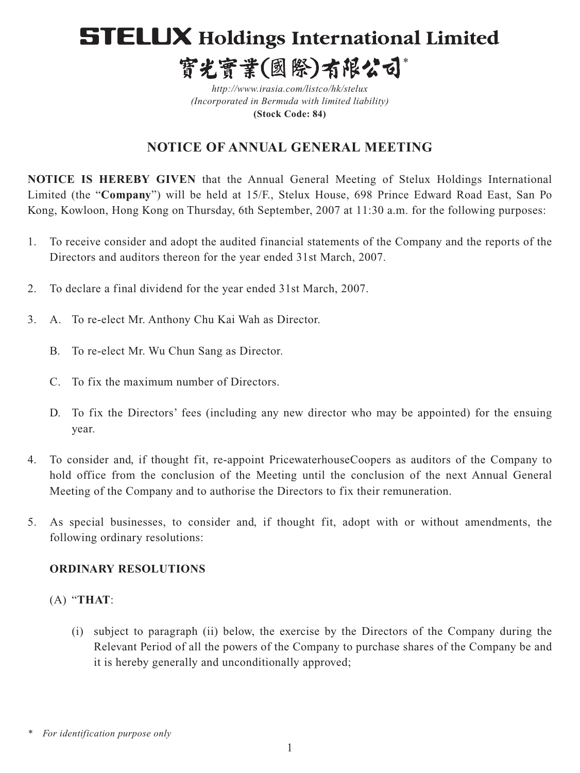# **STELUX Holdings International Limited** 寳光寳業(國際)有限公司\*

*http://www.irasia.com/listco/hk/stelux (Incorporated in Bermuda with limited liability)* **(Stock Code: 84)**

## **NOTICE OF ANNUAL GENERAL MEETING**

**NOTICE IS HEREBY GIVEN** that the Annual General Meeting of Stelux Holdings International Limited (the "**Company**") will be held at 15/F., Stelux House, 698 Prince Edward Road East, San Po Kong, Kowloon, Hong Kong on Thursday, 6th September, 2007 at 11:30 a.m. for the following purposes:

- 1. To receive consider and adopt the audited financial statements of the Company and the reports of the Directors and auditors thereon for the year ended 31st March, 2007.
- 2. To declare a final dividend for the year ended 31st March, 2007.
- 3. A. To re-elect Mr. Anthony Chu Kai Wah as Director.
	- B. To re-elect Mr. Wu Chun Sang as Director.
	- C. To fix the maximum number of Directors.
	- D. To fix the Directors' fees (including any new director who may be appointed) for the ensuing year.
- 4. To consider and, if thought fit, re-appoint PricewaterhouseCoopers as auditors of the Company to hold office from the conclusion of the Meeting until the conclusion of the next Annual General Meeting of the Company and to authorise the Directors to fix their remuneration.
- 5. As special businesses, to consider and, if thought fit, adopt with or without amendments, the following ordinary resolutions:

### **ORDINARY RESOLUTIONS**

### (A) "**THAT**:

(i) subject to paragraph (ii) below, the exercise by the Directors of the Company during the Relevant Period of all the powers of the Company to purchase shares of the Company be and it is hereby generally and unconditionally approved;

*<sup>\*</sup> For identification purpose only*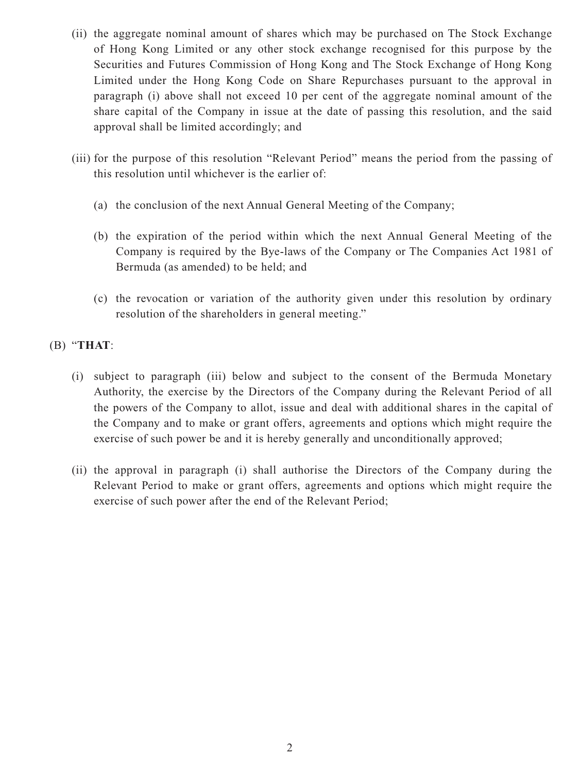- (ii) the aggregate nominal amount of shares which may be purchased on The Stock Exchange of Hong Kong Limited or any other stock exchange recognised for this purpose by the Securities and Futures Commission of Hong Kong and The Stock Exchange of Hong Kong Limited under the Hong Kong Code on Share Repurchases pursuant to the approval in paragraph (i) above shall not exceed 10 per cent of the aggregate nominal amount of the share capital of the Company in issue at the date of passing this resolution, and the said approval shall be limited accordingly; and
- (iii) for the purpose of this resolution "Relevant Period" means the period from the passing of this resolution until whichever is the earlier of:
	- (a) the conclusion of the next Annual General Meeting of the Company;
	- (b) the expiration of the period within which the next Annual General Meeting of the Company is required by the Bye-laws of the Company or The Companies Act 1981 of Bermuda (as amended) to be held; and
	- (c) the revocation or variation of the authority given under this resolution by ordinary resolution of the shareholders in general meeting."

(B) "**THAT**:

- (i) subject to paragraph (iii) below and subject to the consent of the Bermuda Monetary Authority, the exercise by the Directors of the Company during the Relevant Period of all the powers of the Company to allot, issue and deal with additional shares in the capital of the Company and to make or grant offers, agreements and options which might require the exercise of such power be and it is hereby generally and unconditionally approved;
- (ii) the approval in paragraph (i) shall authorise the Directors of the Company during the Relevant Period to make or grant offers, agreements and options which might require the exercise of such power after the end of the Relevant Period;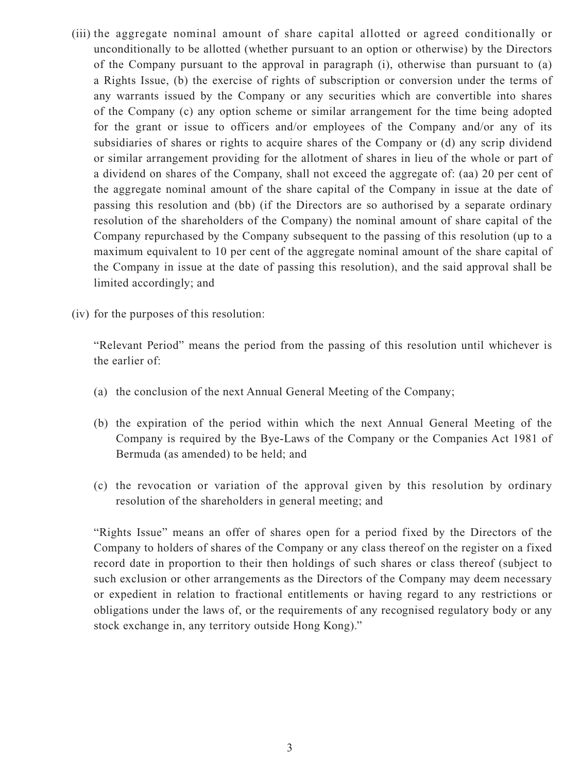- (iii) the aggregate nominal amount of share capital allotted or agreed conditionally or unconditionally to be allotted (whether pursuant to an option or otherwise) by the Directors of the Company pursuant to the approval in paragraph (i), otherwise than pursuant to (a) a Rights Issue, (b) the exercise of rights of subscription or conversion under the terms of any warrants issued by the Company or any securities which are convertible into shares of the Company (c) any option scheme or similar arrangement for the time being adopted for the grant or issue to officers and/or employees of the Company and/or any of its subsidiaries of shares or rights to acquire shares of the Company or (d) any scrip dividend or similar arrangement providing for the allotment of shares in lieu of the whole or part of a dividend on shares of the Company, shall not exceed the aggregate of: (aa) 20 per cent of the aggregate nominal amount of the share capital of the Company in issue at the date of passing this resolution and (bb) (if the Directors are so authorised by a separate ordinary resolution of the shareholders of the Company) the nominal amount of share capital of the Company repurchased by the Company subsequent to the passing of this resolution (up to a maximum equivalent to 10 per cent of the aggregate nominal amount of the share capital of the Company in issue at the date of passing this resolution), and the said approval shall be limited accordingly; and
- (iv) for the purposes of this resolution:

"Relevant Period" means the period from the passing of this resolution until whichever is the earlier of:

- (a) the conclusion of the next Annual General Meeting of the Company;
- (b) the expiration of the period within which the next Annual General Meeting of the Company is required by the Bye-Laws of the Company or the Companies Act 1981 of Bermuda (as amended) to be held; and
- (c) the revocation or variation of the approval given by this resolution by ordinary resolution of the shareholders in general meeting; and

"Rights Issue" means an offer of shares open for a period fixed by the Directors of the Company to holders of shares of the Company or any class thereof on the register on a fixed record date in proportion to their then holdings of such shares or class thereof (subject to such exclusion or other arrangements as the Directors of the Company may deem necessary or expedient in relation to fractional entitlements or having regard to any restrictions or obligations under the laws of, or the requirements of any recognised regulatory body or any stock exchange in, any territory outside Hong Kong)."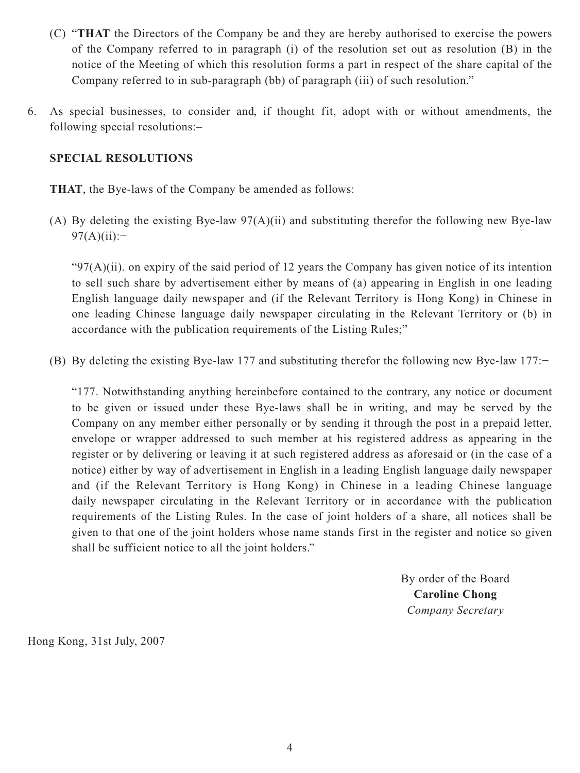- (C) "**THAT** the Directors of the Company be and they are hereby authorised to exercise the powers of the Company referred to in paragraph (i) of the resolution set out as resolution (B) in the notice of the Meeting of which this resolution forms a part in respect of the share capital of the Company referred to in sub-paragraph (bb) of paragraph (iii) of such resolution."
- 6. As special businesses, to consider and, if thought fit, adopt with or without amendments, the following special resolutions:–

### **SPECIAL RESOLUTIONS**

**THAT**, the Bye-laws of the Company be amended as follows:

(A) By deleting the existing Bye-law 97(A)(ii) and substituting therefor the following new Bye-law  $97(A)(ii):=$ 

" $97(A)(ii)$ . on expiry of the said period of 12 years the Company has given notice of its intention to sell such share by advertisement either by means of (a) appearing in English in one leading English language daily newspaper and (if the Relevant Territory is Hong Kong) in Chinese in one leading Chinese language daily newspaper circulating in the Relevant Territory or (b) in accordance with the publication requirements of the Listing Rules;"

(B) By deleting the existing Bye-law 177 and substituting therefor the following new Bye-law 177:−

"177. Notwithstanding anything hereinbefore contained to the contrary, any notice or document to be given or issued under these Bye-laws shall be in writing, and may be served by the Company on any member either personally or by sending it through the post in a prepaid letter, envelope or wrapper addressed to such member at his registered address as appearing in the register or by delivering or leaving it at such registered address as aforesaid or (in the case of a notice) either by way of advertisement in English in a leading English language daily newspaper and (if the Relevant Territory is Hong Kong) in Chinese in a leading Chinese language daily newspaper circulating in the Relevant Territory or in accordance with the publication requirements of the Listing Rules. In the case of joint holders of a share, all notices shall be given to that one of the joint holders whose name stands first in the register and notice so given shall be sufficient notice to all the joint holders."

> By order of the Board **Caroline Chong** *Company Secretary*

Hong Kong, 31st July, 2007